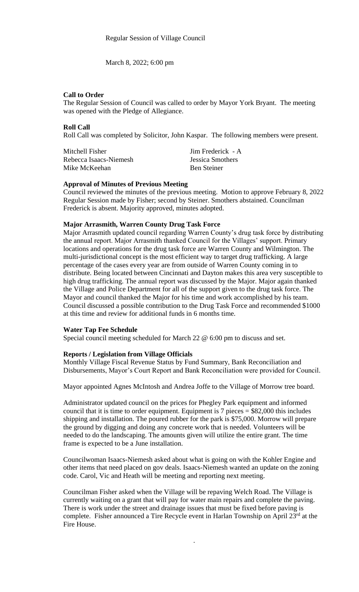March 8, 2022; 6:00 pm

## **Call to Order**

The Regular Session of Council was called to order by Mayor York Bryant. The meeting was opened with the Pledge of Allegiance.

### **Roll Call**

Roll Call was completed by Solicitor, John Kaspar. The following members were present.

| Mitchell Fisher        | Jim Frederick - A |
|------------------------|-------------------|
| Rebecca Isaacs-Niemesh | Jessica Smothers  |
| Mike McKeehan          | Ben Steiner       |

#### **Approval of Minutes of Previous Meeting**

Council reviewed the minutes of the previous meeting. Motion to approve February 8, 2022 Regular Session made by Fisher; second by Steiner. Smothers abstained. Councilman Frederick is absent. Majority approved, minutes adopted.

#### **Major Arrasmith, Warren County Drug Task Force**

Major Arrasmith updated council regarding Warren County's drug task force by distributing the annual report. Major Arrasmith thanked Council for the Villages' support. Primary locations and operations for the drug task force are Warren County and Wilmington. The multi-jurisdictional concept is the most efficient way to target drug trafficking. A large percentage of the cases every year are from outside of Warren County coming in to distribute. Being located between Cincinnati and Dayton makes this area very susceptible to high drug trafficking. The annual report was discussed by the Major. Major again thanked the Village and Police Department for all of the support given to the drug task force. The Mayor and council thanked the Major for his time and work accomplished by his team. Council discussed a possible contribution to the Drug Task Force and recommended \$1000 at this time and review for additional funds in 6 months time.

#### **Water Tap Fee Schedule**

Special council meeting scheduled for March 22 @ 6:00 pm to discuss and set.

#### **Reports / Legislation from Village Officials**

Monthly Village Fiscal Revenue Status by Fund Summary, Bank Reconciliation and Disbursements, Mayor's Court Report and Bank Reconciliation were provided for Council.

Mayor appointed Agnes McIntosh and Andrea Joffe to the Village of Morrow tree board.

Administrator updated council on the prices for Phegley Park equipment and informed council that it is time to order equipment. Equipment is 7 pieces = \$82,000 this includes shipping and installation. The poured rubber for the park is \$75,000. Morrow will prepare the ground by digging and doing any concrete work that is needed. Volunteers will be needed to do the landscaping. The amounts given will utilize the entire grant. The time frame is expected to be a June installation.

Councilwoman Isaacs-Niemesh asked about what is going on with the Kohler Engine and other items that need placed on gov deals. Isaacs-Niemesh wanted an update on the zoning code. Carol, Vic and Heath will be meeting and reporting next meeting.

Councilman Fisher asked when the Village will be repaving Welch Road. The Village is currently waiting on a grant that will pay for water main repairs and complete the paving. There is work under the street and drainage issues that must be fixed before paving is complete. Fisher announced a Tire Recycle event in Harlan Township on April 23<sup>rd</sup> at the Fire House.

.